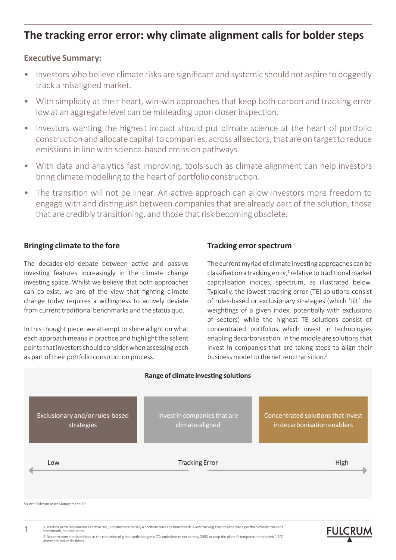# **The tracking error error: why climate alignment calls for bolder steps**

#### **Executive Summary:**

- Investors who believe climate risks are significant and systemic should not aspire to doggedly track a misaligned market.
- With simplicity at their heart, win-win approaches that keep both carbon and tracking error low at an aggregate level can be misleading upon closer inspection.
- Investors wanting the highest impact should put climate science at the heart of portfolio construction and allocate capital to companies, across all sectors, that are on target to reduce emissions in line with science-based emission pathways.
- With data and analytics fast improving, tools such as climate alignment can help investors bring climate modelling to the heart of portfolio construction.
- The transition will not be linear. An active approach can allow investors more freedom to engage with and distinguish between companies that are already part of the solution, those that are credibly transitioning, and those that risk becoming obsolete.

#### **Bringing climate to the fore**

1

The decades-old debate between active and passive investing features increasingly in the climate change investing space. Whilst we believe that both approaches can co-exist, we are of the view that fighting climate change today requires a willingness to actively deviate from current traditional benchmarks and the status quo.

In this thought piece, we attempt to shine a light on what each approach means in practice and highlight the salient points that investors should consider when assessing each as part of their portfolio construction process.

## **Tracking error spectrum**

The current myriad of climate investing approaches can be classified on a tracking error,<sup>1</sup> relative to traditional market capitalisation indices, spectrum, as illustrated below. Typically, the lowest tracking error (TE) solutions consist of rules-based or exclusionary strategies (which 'tilt' the weightings of a given index, potentially with exclusions of sectors) while the highest TE solutions consist of concentrated portfolios which invest in technologies enabling decarbonisation. In the middle are solutions that invest in companies that are taking steps to align their business model to the net zero transition.<sup>2</sup>



<sup>1</sup> Tracking error, also known as active risk, indicates how closely a portfolio tracks its benchmark. A low tracking error means that a portfolio closely tracks its<br>benchmark and vice versa benchmark, and vice versa. 2 Net zero transition is defined as the reduction of global anthropogenic CO2 emissions to net zero by 2050 to keep the planet's temperature to below 1.5°C<br>above pre-industrial times.

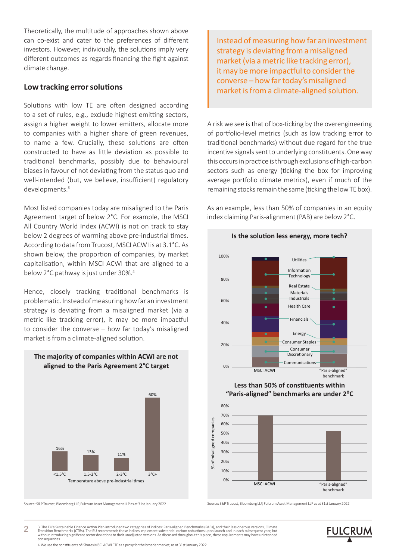Theoretically, the multitude of approaches shown above can co-exist and cater to the preferences of different investors. However, individually, the solutions imply very different outcomes as regards financing the fight against climate change.

#### **Low tracking error solutions**

Solutions with low TE are often designed according to a set of rules, e.g., exclude highest emitting sectors, assign a higher weight to lower emitters, allocate more to companies with a higher share of green revenues, to name a few. Crucially, these solutions are often constructed to have as little deviation as possible to traditional benchmarks, possibly due to behavioural biases in favour of not deviating from the status quo and well-intended (but, we believe, insufficient) regulatory developments.<sup>3</sup>

Most listed companies today are misaligned to the Paris Agreement target of below 2°C. For example, the MSCI All Country World Index (ACWI) is not on track to stay below 2 degrees of warming above pre-industrial times. According to data from Trucost, MSCI ACWI is at 3.1°C. As shown below, the proportion of companies, by market capitalisation, within MSCI ACWI that are aligned to a below 2°C pathway is just under 30%.<sup>4</sup>

Hence, closely tracking traditional benchmarks is problematic. Instead of measuring how far an investment strategy is deviating from a misaligned market (via a metric like tracking error), it may be more impactful to consider the converse – how far today's misaligned market is from a climate-aligned solution.



#### **The majority of companies within ACWI are not aligned to the Paris Agreement 2°C target**

Source: S&P Trucost, Bloomberg LLP, Fulcrum Asset Management LLP as at 31st January 2022 Source: S&P Trucost, Bloomberg LLP, Fulcrum Asset Management LLP as at 31st January 2022

Instead of measuring how far an investment strategy is deviating from a misaligned market (via a metric like tracking error), it may be more impactful to consider the converse – how far today's misaligned market is from a climate-aligned solution.

A risk we see is that of box-ticking by the overengineering of portfolio-level metrics (such as low tracking error to traditional benchmarks) without due regard for the true incentive signals sent to underlying constituents. One way this occurs in practice is through exclusions of high-carbon sectors such as energy (ticking the box for improving average portfolio climate metrics), even if much of the remaining stocks remain the same (ticking the low TE box).

As an example, less than 50% of companies in an equity index claiming Paris-alignment (PAB) are below 2°C.

**Is the solution less energy, more tech?**



**Less than 50% of constituents within "Paris-aligned" benchmarks are under 2⁰C**



2 3 The EU's Sustainable Finance Action Plan introduced two categories of indices: Paris-aligned Benchmarks (PABs), and their less onerous versions, Climate<br>Transition Benchmarks (CTBs). The EU recommends these indices imple

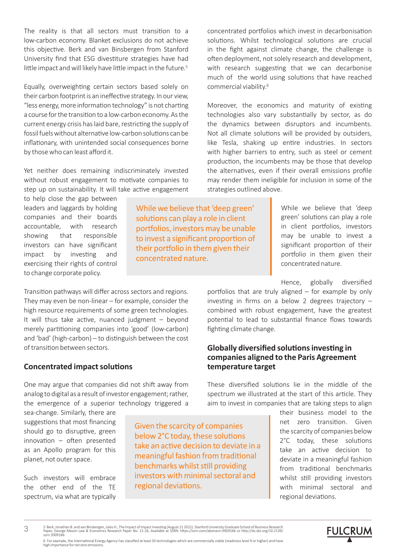The reality is that all sectors must transition to a low-carbon economy. Blanket exclusions do not achieve this objective. Berk and van Binsbergen from Stanford University find that ESG divestiture strategies have had little impact and will likely have little impact in the future.<sup>5</sup>

Equally, overweighting certain sectors based solely on their carbon footprint is an ineffective strategy. In our view, "less energy, more information technology" is not charting a course for the transition to a low-carbon economy. As the current energy crisis has laid bare, restricting the supply of fossil fuels without alternative low-carbon solutions can be inflationary, with unintended social consequences borne by those who can least afford it.

Yet neither does remaining indiscriminately invested without robust engagement to motivate companies to step up on sustainability. It will take active engagement

to help close the gap between leaders and laggards by holding companies and their boards accountable, with research showing that responsible investors can have significant impact by investing and exercising their rights of control to change corporate policy.

Transition pathways will differ across sectors and regions. They may even be non-linear – for example, consider the high resource requirements of some green technologies. It will thus take active, nuanced judgment – beyond merely partitioning companies into 'good' (low-carbon) and 'bad' (high-carbon) – to distinguish between the cost of transition between sectors.

#### **Concentrated impact solutions**

One may argue that companies did not shift away from analog to digital as a result of investor engagement; rather, the emergence of a superior technology triggered a

sea-change. Similarly, there are suggestions that most financing should go to disruptive, green innovation – often presented as an Apollo program for this planet, not outer space.

Such investors will embrace the other end of the TE spectrum, via what are typically While we believe that 'deep green' solutions can play a role in client portfolios, investors may be unable to invest a significant proportion of their portfolio in them given their concentrated nature.

concentrated portfolios which invest in decarbonisation solutions. Whilst technological solutions are crucial in the fight against climate change, the challenge is often deployment, not solely research and development, with research suggesting that we can decarbonise much of the world using solutions that have reached commercial viability.<sup>6</sup>

Moreover, the economics and maturity of existing technologies also vary substantially by sector, as do the dynamics between disruptors and incumbents. Not all climate solutions will be provided by outsiders, like Tesla, shaking up entire industries. In sectors with higher barriers to entry, such as steel or cement production, the incumbents may be those that develop the alternatives, even if their overall emissions profile may render them ineligible for inclusion in some of the strategies outlined above.

> While we believe that 'deep green' solutions can play a role in client portfolios, investors may be unable to invest a significant proportion of their portfolio in them given their concentrated nature.

Hence, globally diversified

portfolios that are truly aligned – for example by only investing in firms on a below 2 degrees trajectory – combined with robust engagement, have the greatest potential to lead to substantial finance flows towards fighting climate change.

#### **Globally diversified solutions investing in companies aligned to the Paris Agreement temperature target**

These diversified solutions lie in the middle of the spectrum we illustrated at the start of this article. They aim to invest in companies that are taking steps to align

> their business model to the net zero transition. Given the scarcity of companies below 2°C today, these solutions take an active decision to deviate in a meaningful fashion from traditional benchmarks whilst still providing investors with minimal sectoral and regional deviations.

> > **FULCRUM**

5 Berk, Jonathan B. and van Binsbergen, Jules H., The Impact of Impact Investing (August 21 2021). Stanford University Graduate School of Business Research<br>Paper, George Mason Law & Economics Research Paper No. 21-26, Avai

6 For example, the International Energy Agency has classified at least 50 technologies which are commercially viable (readiness level 9 or higher) and have high importance for net zero emissions.

regional deviations.

Given the scarcity of companies below 2°C today, these solutions take an active decision to deviate in a meaningful fashion from traditional benchmarks whilst still providing investors with minimal sectoral and

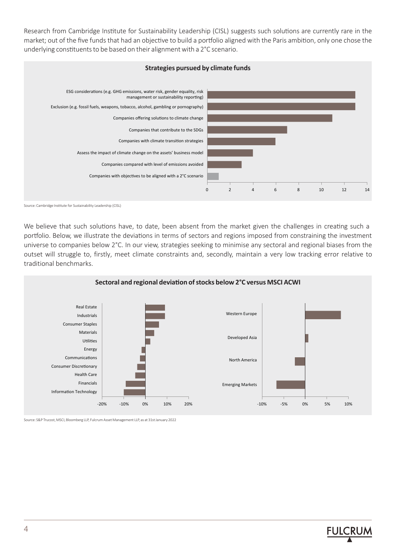Research from Cambridge Institute for Sustainability Leadership (CISL) suggests such solutions are currently rare in the market; out of the five funds that had an objective to build a portfolio aligned with the Paris ambition, only one chose the underlying constituents to be based on their alignment with a 2°C scenario.



Source: Cambridge Institute for Sustainability Leadership (CISL)

We believe that such solutions have, to date, been absent from the market given the challenges in creating such a portfolio. Below, we illustrate the deviations in terms of sectors and regions imposed from constraining the investment universe to companies below 2°C. In our view, strategies seeking to minimise any sectoral and regional biases from the outset will struggle to, firstly, meet climate constraints and, secondly, maintain a very low tracking error relative to traditional benchmarks.



Source: S&P Trucost, MSCI, Bloomberg LLP, Fulcrum Asset Management LLP, as at 31st January 2022

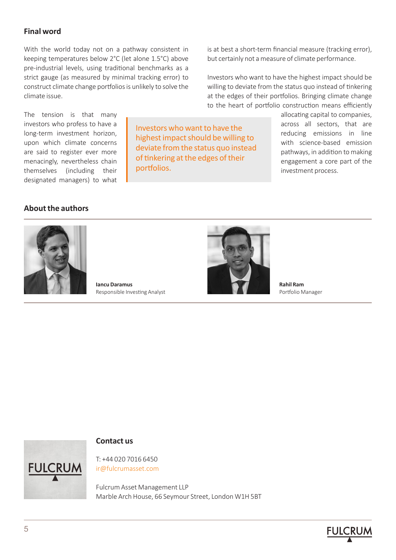## **Final word**

With the world today not on a pathway consistent in keeping temperatures below 2°C (let alone 1.5°C) above pre-industrial levels, using traditional benchmarks as a strict gauge (as measured by minimal tracking error) to construct climate change portfolios is unlikely to solve the climate issue.

The tension is that many investors who profess to have a long-term investment horizon, upon which climate concerns are said to register ever more menacingly, nevertheless chain themselves (including their designated managers) to what

Investors who want to have the highest impact should be willing to deviate from the status quo instead of tinkering at the edges of their portfolios.

is at best a short-term financial measure (tracking error), but certainly not a measure of climate performance.

Investors who want to have the highest impact should be willing to deviate from the status quo instead of tinkering at the edges of their portfolios. Bringing climate change to the heart of portfolio construction means efficiently

> allocating capital to companies, across all sectors, that are reducing emissions in line with science-based emission pathways, in addition to making engagement a core part of the investment process.

#### **About the authors**



**Iancu Daramus** Responsible Investing Analyst



**Rahil Ram** Portfolio Manager



#### **Contact us**

T: +44 020 7016 6450 ir@fulcrumasset.com

Fulcrum Asset Management LLP Marble Arch House, 66 Seymour Street, London W1H 5BT